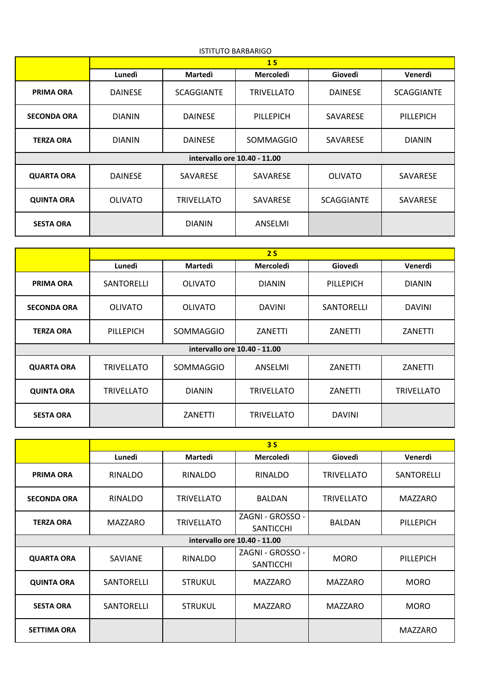| <b>ISTITUTO BARBARIGO</b>    |                |                   |                   |                   |                   |  |
|------------------------------|----------------|-------------------|-------------------|-------------------|-------------------|--|
|                              | 1 <sub>S</sub> |                   |                   |                   |                   |  |
|                              | Lunedì         | <b>Martedì</b>    | <b>Mercoledì</b>  | Giovedì           | Venerdì           |  |
| <b>PRIMA ORA</b>             | <b>DAINESE</b> | <b>SCAGGIANTE</b> | <b>TRIVELLATO</b> | <b>DAINESE</b>    | <b>SCAGGIANTE</b> |  |
| <b>SECONDA ORA</b>           | <b>DIANIN</b>  | <b>DAINESE</b>    | PILLEPICH         | SAVARESE          | PILLEPICH         |  |
| <b>TERZA ORA</b>             | <b>DIANIN</b>  | <b>DAINESE</b>    | SOMMAGGIO         | <b>SAVARESE</b>   | <b>DIANIN</b>     |  |
| intervallo ore 10.40 - 11.00 |                |                   |                   |                   |                   |  |
| <b>QUARTA ORA</b>            | <b>DAINESE</b> | SAVARESE          | SAVARESE          | <b>OLIVATO</b>    | SAVARESE          |  |
| <b>QUINTA ORA</b>            | <b>OLIVATO</b> | <b>TRIVELLATO</b> | SAVARESE          | <b>SCAGGIANTE</b> | SAVARESE          |  |
| <b>SESTA ORA</b>             |                | <b>DIANIN</b>     | ANSELMI           |                   |                   |  |

|                              | 2S                |                |                   |                |                   |  |  |
|------------------------------|-------------------|----------------|-------------------|----------------|-------------------|--|--|
|                              | Lunedì            | Martedì        | <b>Mercoledì</b>  | Giovedì        | Venerdì           |  |  |
| <b>PRIMA ORA</b>             | SANTORELLI        | <b>OLIVATO</b> | <b>DIANIN</b>     | PILLEPICH      | <b>DIANIN</b>     |  |  |
| <b>SECONDA ORA</b>           | <b>OLIVATO</b>    | <b>OLIVATO</b> | <b>DAVINI</b>     | SANTORELLI     | <b>DAVINI</b>     |  |  |
| <b>TERZA ORA</b>             | PILLEPICH         | SOMMAGGIO      | ZANETTI           | ZANETTI        | ZANETTI           |  |  |
| intervallo ore 10.40 - 11.00 |                   |                |                   |                |                   |  |  |
| <b>QUARTA ORA</b>            | <b>TRIVELLATO</b> | SOMMAGGIO      | ANSELMI           | <b>ZANETTI</b> | ZANETTI           |  |  |
| <b>QUINTA ORA</b>            | <b>TRIVELLATO</b> | <b>DIANIN</b>  | <b>TRIVELLATO</b> | ZANETTI        | <b>TRIVELLATO</b> |  |  |
| <b>SESTA ORA</b>             |                   | ZANETTI        | <b>TRIVELLATO</b> | <b>DAVINI</b>  |                   |  |  |

|                              | 3S             |                   |                                      |                   |                   |  |
|------------------------------|----------------|-------------------|--------------------------------------|-------------------|-------------------|--|
|                              | Lunedì         | <b>Martedi</b>    | <b>Mercoledì</b>                     | Giovedì           | Venerdì           |  |
| <b>PRIMA ORA</b>             | <b>RINALDO</b> | RINALDO           | RINALDO                              | <b>TRIVELLATO</b> | <b>SANTORELLI</b> |  |
| <b>SECONDA ORA</b>           | <b>RINALDO</b> | <b>TRIVELLATO</b> | <b>BALDAN</b>                        | <b>TRIVELLATO</b> | MAZZARO           |  |
| <b>TERZA ORA</b>             | <b>MAZZARO</b> | <b>TRIVELLATO</b> | ZAGNI - GROSSO -<br><b>SANTICCHI</b> | <b>BALDAN</b>     | PILLEPICH         |  |
| intervallo ore 10.40 - 11.00 |                |                   |                                      |                   |                   |  |
| <b>QUARTA ORA</b>            | <b>SAVIANE</b> | <b>RINALDO</b>    | ZAGNI - GROSSO -<br>SANTICCHI        | <b>MORO</b>       | PILLEPICH         |  |
| <b>QUINTA ORA</b>            | SANTORELLI     | <b>STRUKUL</b>    | <b>MAZZARO</b>                       | MAZZARO           | <b>MORO</b>       |  |
| <b>SESTA ORA</b>             | SANTORELLI     | <b>STRUKUL</b>    | <b>MAZZARO</b>                       | <b>MAZZARO</b>    | <b>MORO</b>       |  |
| <b>SETTIMA ORA</b>           |                |                   |                                      |                   | <b>MAZZARO</b>    |  |